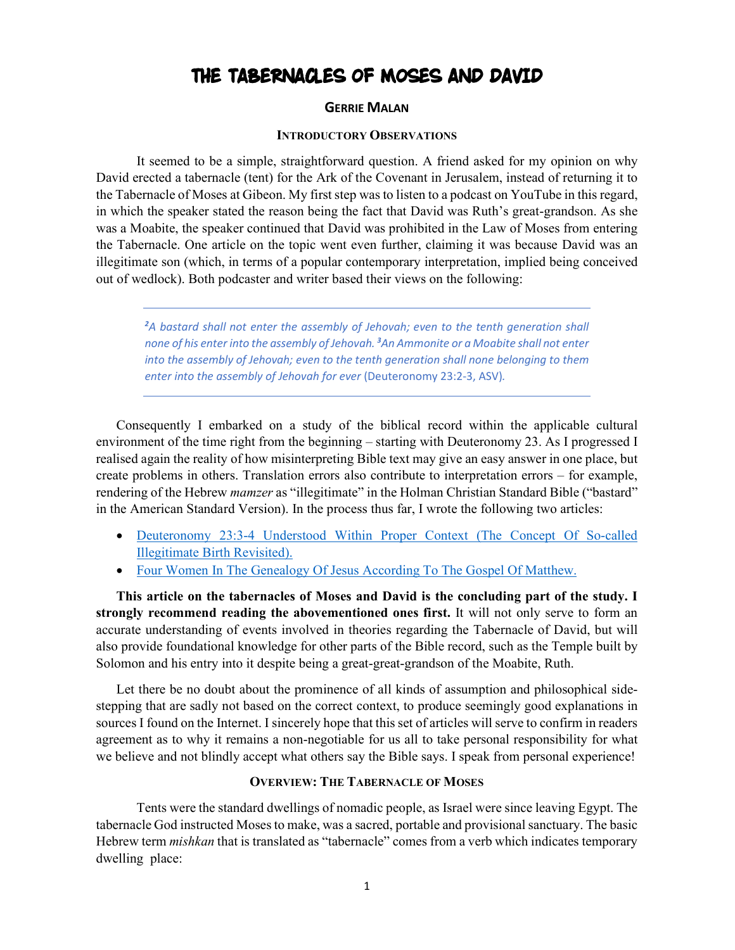# THE TABERNACLES OF MOSES AND DAVID

### **GERRIE MALAN**

#### **INTRODUCTORY OBSERVATIONS**

It seemed to be a simple, straightforward question. A friend asked for my opinion on why David erected a tabernacle (tent) for the Ark of the Covenant in Jerusalem, instead of returning it to the Tabernacle of Moses at Gibeon. My first step was to listen to a podcast on YouTube in this regard, in which the speaker stated the reason being the fact that David was Ruth's great-grandson. As she was a Moabite, the speaker continued that David was prohibited in the Law of Moses from entering the Tabernacle. One article on the topic went even further, claiming it was because David was an illegitimate son (which, in terms of a popular contemporary interpretation, implied being conceived out of wedlock). Both podcaster and writer based their views on the following:

*<sup>2</sup>A bastard shall not enter the assembly of Jehovah; even to the tenth generation shall none of his enter into the assembly of Jehovah. <sup>3</sup>An Ammonite or a Moabite shall not enter into the assembly of Jehovah; even to the tenth generation shall none belonging to them enter into the assembly of Jehovah for ever* (Deuteronomy 23:2-3, ASV)*.*

Consequently I embarked on a study of the biblical record within the applicable cultural environment of the time right from the beginning – starting with Deuteronomy 23. As I progressed I realised again the reality of how misinterpreting Bible text may give an easy answer in one place, but create problems in others. Translation errors also contribute to interpretation errors – for example, rendering of the Hebrew *mamzer* as "illegitimate" in the Holman Christian Standard Bible ("bastard" in the American Standard Version). In the process thus far, I wrote the following two articles:

- Deuteronomy 23:3-4 Understood Within Proper Context (The Concept Of So-called Illegitimate Birth Revisited).
- Four Women In The Genealogy Of Jesus According To The Gospel Of Matthew.

**This article on the tabernacles of Moses and David is the concluding part of the study. I strongly recommend reading the abovementioned ones first.** It will not only serve to form an accurate understanding of events involved in theories regarding the Tabernacle of David, but will also provide foundational knowledge for other parts of the Bible record, such as the Temple built by Solomon and his entry into it despite being a great-great-grandson of the Moabite, Ruth.

Let there be no doubt about the prominence of all kinds of assumption and philosophical sidestepping that are sadly not based on the correct context, to produce seemingly good explanations in sources I found on the Internet. I sincerely hope that this set of articles will serve to confirm in readers agreement as to why it remains a non-negotiable for us all to take personal responsibility for what we believe and not blindly accept what others say the Bible says. I speak from personal experience!

### **OVERVIEW: THE TABERNACLE OF MOSES**

Tents were the standard dwellings of nomadic people, as Israel were since leaving Egypt. The tabernacle God instructed Moses to make, was a sacred, portable and provisional sanctuary. The basic Hebrew term *mishkan* that is translated as "tabernacle" comes from a verb which indicates temporary dwelling place: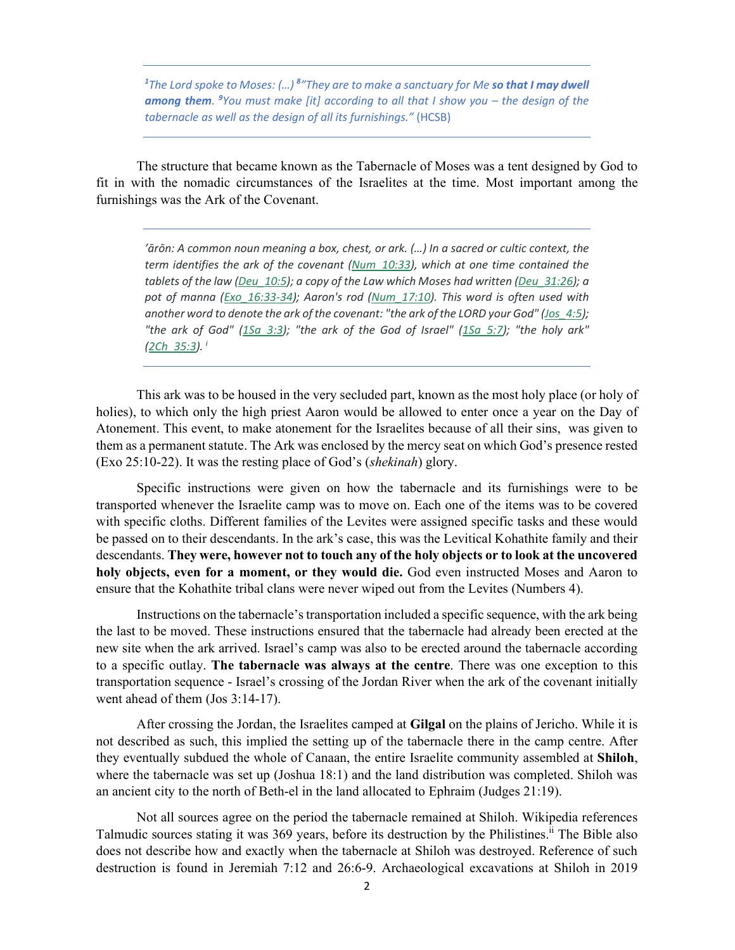<sup>1</sup>The Lord spoke to Moses: (...) <sup>8</sup>"They are to make a sanctuary for Me **so that I may dwell** among them. <sup>9</sup>You must make [it] according to all that I show you – the design of the *tabernacle as well as the design of all its furnishings."* (HCSB)

The structure that became known as the Tabernacle of Moses was a tent designed by God to fit in with the nomadic circumstances of the Israelites at the time. Most important among the furnishings was the Ark of the Covenant.

*'ārōn: A common noun meaning a box, chest, or ark. (…) In a sacred or cultic context, the term identifies the ark of the covenant (Num\_10:33), which at one time contained the tablets of the law (Deu\_10:5); a copy of the Law which Moses had written (Deu\_31:26); a pot of manna (Exo\_16:33-34); Aaron's rod (Num\_17:10). This word is often used with another word to denote the ark of the covenant: "the ark of the LORD your God" (Jos\_4:5); "the ark of God" (1Sa\_3:3); "the ark of the God of Israel" (1Sa\_5:7); "the holy ark" (2Ch\_35:3). <sup>i</sup>*

This ark was to be housed in the very secluded part, known as the most holy place (or holy of holies), to which only the high priest Aaron would be allowed to enter once a year on the Day of Atonement. This event, to make atonement for the Israelites because of all their sins, was given to them as a permanent statute. The Ark was enclosed by the mercy seat on which God's presence rested (Exo 25:10-22). It was the resting place of God's (*shekinah*) glory.

Specific instructions were given on how the tabernacle and its furnishings were to be transported whenever the Israelite camp was to move on. Each one of the items was to be covered with specific cloths. Different families of the Levites were assigned specific tasks and these would be passed on to their descendants. In the ark's case, this was the Levitical Kohathite family and their descendants. **They were, however not to touch any of the holy objects or to look at the uncovered holy objects, even for a moment, or they would die.** God even instructed Moses and Aaron to ensure that the Kohathite tribal clans were never wiped out from the Levites (Numbers 4).

Instructions on the tabernacle's transportation included a specific sequence, with the ark being the last to be moved. These instructions ensured that the tabernacle had already been erected at the new site when the ark arrived. Israel's camp was also to be erected around the tabernacle according to a specific outlay. **The tabernacle was always at the centre**. There was one exception to this transportation sequence - Israel's crossing of the Jordan River when the ark of the covenant initially went ahead of them (Jos 3:14-17).

After crossing the Jordan, the Israelites camped at **Gilgal** on the plains of Jericho. While it is not described as such, this implied the setting up of the tabernacle there in the camp centre. After they eventually subdued the whole of Canaan, the entire Israelite community assembled at **Shiloh**, where the tabernacle was set up (Joshua 18:1) and the land distribution was completed. Shiloh was an ancient city to the north of Beth-el in the land allocated to Ephraim (Judges 21:19).

Not all sources agree on the period the tabernacle remained at Shiloh. Wikipedia references Talmudic sources stating it was 369 years, before its destruction by the Philistines.ii The Bible also does not describe how and exactly when the tabernacle at Shiloh was destroyed. Reference of such destruction is found in Jeremiah 7:12 and 26:6-9. Archaeological excavations at Shiloh in 2019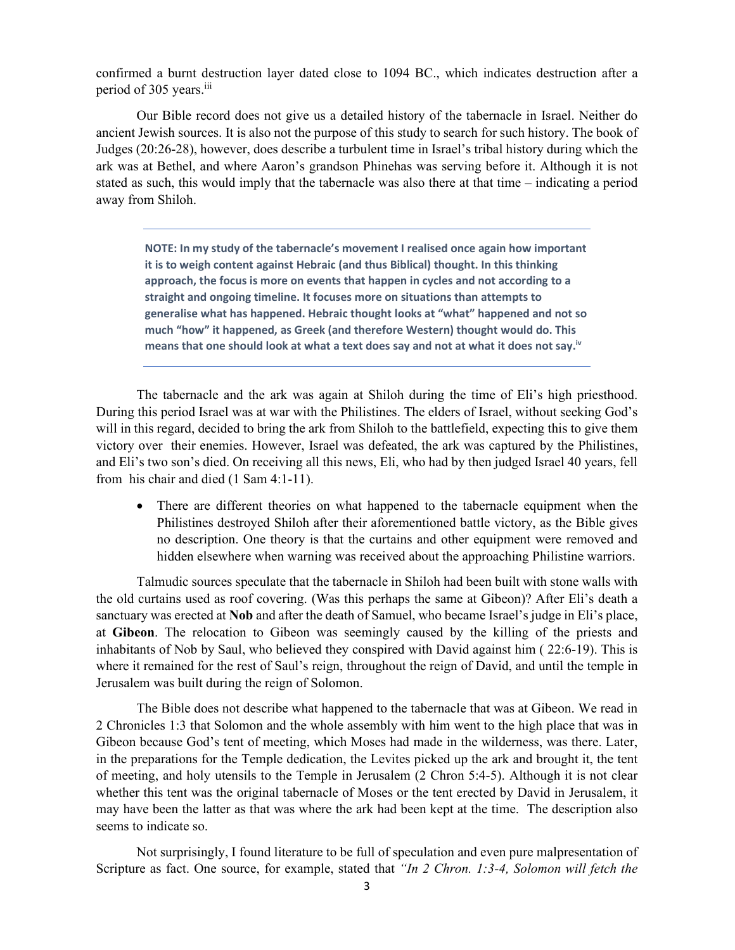confirmed a burnt destruction layer dated close to 1094 BC., which indicates destruction after a period of 305 years.<sup>iii</sup>

Our Bible record does not give us a detailed history of the tabernacle in Israel. Neither do ancient Jewish sources. It is also not the purpose of this study to search for such history. The book of Judges (20:26-28), however, does describe a turbulent time in Israel's tribal history during which the ark was at Bethel, and where Aaron's grandson Phinehas was serving before it. Although it is not stated as such, this would imply that the tabernacle was also there at that time – indicating a period away from Shiloh.

**NOTE: In my study of the tabernacle's movement I realised once again how important it is to weigh content against Hebraic (and thus Biblical) thought. In this thinking approach, the focus is more on events that happen in cycles and not according to a straight and ongoing timeline. It focuses more on situations than attempts to generalise what has happened. Hebraic thought looks at "what" happened and not so much "how" it happened, as Greek (and therefore Western) thought would do. This means that one should look at what a text does say and not at what it does not say.iv**

The tabernacle and the ark was again at Shiloh during the time of Eli's high priesthood. During this period Israel was at war with the Philistines. The elders of Israel, without seeking God's will in this regard, decided to bring the ark from Shiloh to the battlefield, expecting this to give them victory over their enemies. However, Israel was defeated, the ark was captured by the Philistines, and Eli's two son's died. On receiving all this news, Eli, who had by then judged Israel 40 years, fell from his chair and died (1 Sam 4:1-11).

 There are different theories on what happened to the tabernacle equipment when the Philistines destroyed Shiloh after their aforementioned battle victory, as the Bible gives no description. One theory is that the curtains and other equipment were removed and hidden elsewhere when warning was received about the approaching Philistine warriors.

Talmudic sources speculate that the tabernacle in Shiloh had been built with stone walls with the old curtains used as roof covering. (Was this perhaps the same at Gibeon)? After Eli's death a sanctuary was erected at **Nob** and after the death of Samuel, who became Israel's judge in Eli's place, at **Gibeon**. The relocation to Gibeon was seemingly caused by the killing of the priests and inhabitants of Nob by Saul, who believed they conspired with David against him ( 22:6-19). This is where it remained for the rest of Saul's reign, throughout the reign of David, and until the temple in Jerusalem was built during the reign of Solomon.

The Bible does not describe what happened to the tabernacle that was at Gibeon. We read in 2 Chronicles 1:3 that Solomon and the whole assembly with him went to the high place that was in Gibeon because God's tent of meeting, which Moses had made in the wilderness, was there. Later, in the preparations for the Temple dedication, the Levites picked up the ark and brought it, the tent of meeting, and holy utensils to the Temple in Jerusalem (2 Chron 5:4-5). Although it is not clear whether this tent was the original tabernacle of Moses or the tent erected by David in Jerusalem, it may have been the latter as that was where the ark had been kept at the time. The description also seems to indicate so.

Not surprisingly, I found literature to be full of speculation and even pure malpresentation of Scripture as fact. One source, for example, stated that *"In 2 Chron. 1:3-4, Solomon will fetch the*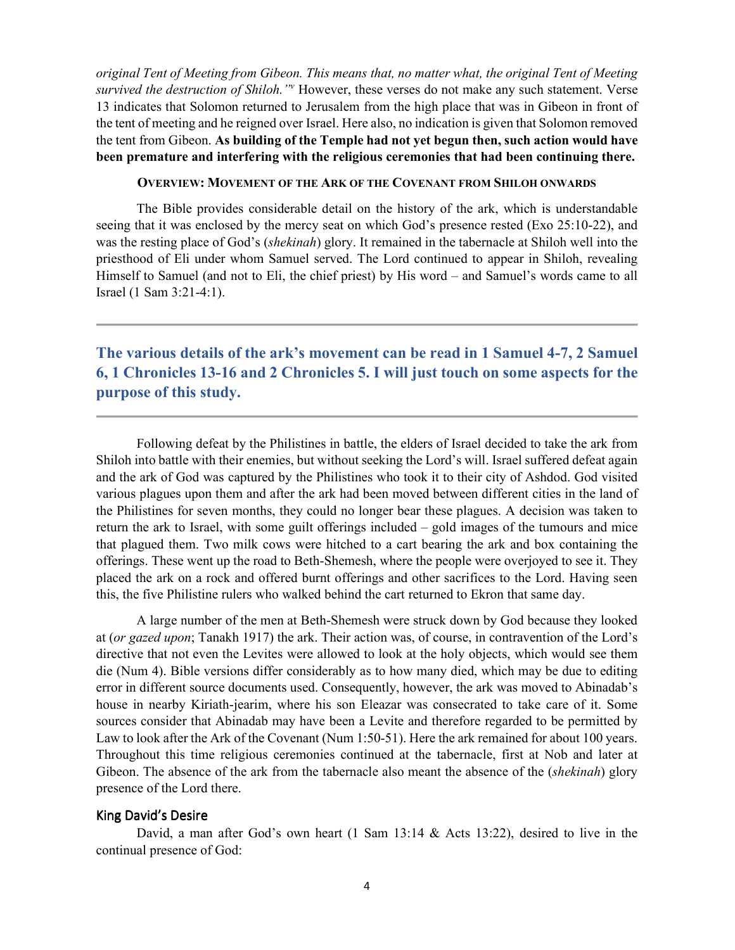*original Tent of Meeting from Gibeon. This means that, no matter what, the original Tent of Meeting survived the destruction of Shiloh."<sup>v</sup>* However, these verses do not make any such statement. Verse 13 indicates that Solomon returned to Jerusalem from the high place that was in Gibeon in front of the tent of meeting and he reigned over Israel. Here also, no indication is given that Solomon removed the tent from Gibeon. **As building of the Temple had not yet begun then, such action would have been premature and interfering with the religious ceremonies that had been continuing there.**

#### **OVERVIEW: MOVEMENT OF THE ARK OF THE COVENANT FROM SHILOH ONWARDS**

The Bible provides considerable detail on the history of the ark, which is understandable seeing that it was enclosed by the mercy seat on which God's presence rested (Exo 25:10-22), and was the resting place of God's (*shekinah*) glory. It remained in the tabernacle at Shiloh well into the priesthood of Eli under whom Samuel served. The Lord continued to appear in Shiloh, revealing Himself to Samuel (and not to Eli, the chief priest) by His word – and Samuel's words came to all Israel (1 Sam 3:21-4:1).

**The various details of the ark's movement can be read in 1 Samuel 4-7, 2 Samuel 6, 1 Chronicles 13-16 and 2 Chronicles 5. I will just touch on some aspects for the purpose of this study.** 

Following defeat by the Philistines in battle, the elders of Israel decided to take the ark from Shiloh into battle with their enemies, but without seeking the Lord's will. Israel suffered defeat again and the ark of God was captured by the Philistines who took it to their city of Ashdod. God visited various plagues upon them and after the ark had been moved between different cities in the land of the Philistines for seven months, they could no longer bear these plagues. A decision was taken to return the ark to Israel, with some guilt offerings included – gold images of the tumours and mice that plagued them. Two milk cows were hitched to a cart bearing the ark and box containing the offerings. These went up the road to Beth-Shemesh, where the people were overjoyed to see it. They placed the ark on a rock and offered burnt offerings and other sacrifices to the Lord. Having seen this, the five Philistine rulers who walked behind the cart returned to Ekron that same day.

A large number of the men at Beth-Shemesh were struck down by God because they looked at (*or gazed upon*; Tanakh 1917) the ark. Their action was, of course, in contravention of the Lord's directive that not even the Levites were allowed to look at the holy objects, which would see them die (Num 4). Bible versions differ considerably as to how many died, which may be due to editing error in different source documents used. Consequently, however, the ark was moved to Abinadab's house in nearby Kiriath-jearim, where his son Eleazar was consecrated to take care of it. Some sources consider that Abinadab may have been a Levite and therefore regarded to be permitted by Law to look after the Ark of the Covenant (Num 1:50-51). Here the ark remained for about 100 years. Throughout this time religious ceremonies continued at the tabernacle, first at Nob and later at Gibeon. The absence of the ark from the tabernacle also meant the absence of the (*shekinah*) glory presence of the Lord there.

### King David's Desire

David, a man after God's own heart (1 Sam 13:14 & Acts 13:22), desired to live in the continual presence of God: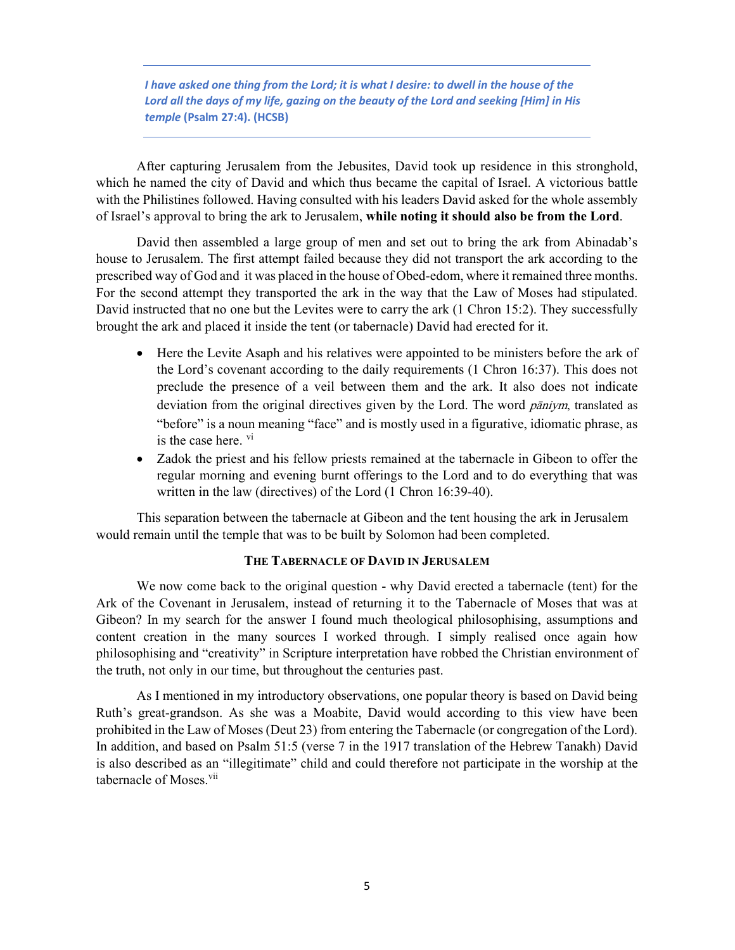*I have asked one thing from the Lord; it is what I desire: to dwell in the house of the Lord all the days of my life, gazing on the beauty of the Lord and seeking [Him] in His temple* **(Psalm 27:4). (HCSB)**

After capturing Jerusalem from the Jebusites, David took up residence in this stronghold, which he named the city of David and which thus became the capital of Israel. A victorious battle with the Philistines followed. Having consulted with his leaders David asked for the whole assembly of Israel's approval to bring the ark to Jerusalem, **while noting it should also be from the Lord**.

David then assembled a large group of men and set out to bring the ark from Abinadab's house to Jerusalem. The first attempt failed because they did not transport the ark according to the prescribed way of God and it was placed in the house of Obed-edom, where it remained three months. For the second attempt they transported the ark in the way that the Law of Moses had stipulated. David instructed that no one but the Levites were to carry the ark (1 Chron 15:2). They successfully brought the ark and placed it inside the tent (or tabernacle) David had erected for it.

- Here the Levite Asaph and his relatives were appointed to be ministers before the ark of the Lord's covenant according to the daily requirements (1 Chron 16:37). This does not preclude the presence of a veil between them and the ark. It also does not indicate deviation from the original directives given by the Lord. The word *pāniym*, translated as "before" is a noun meaning "face" and is mostly used in a figurative, idiomatic phrase, as is the case here.  $\mathrm{v}$ <sup>i</sup>
- Zadok the priest and his fellow priests remained at the tabernacle in Gibeon to offer the regular morning and evening burnt offerings to the Lord and to do everything that was written in the law (directives) of the Lord (1 Chron 16:39-40).

This separation between the tabernacle at Gibeon and the tent housing the ark in Jerusalem would remain until the temple that was to be built by Solomon had been completed.

### **THE TABERNACLE OF DAVID IN JERUSALEM**

We now come back to the original question - why David erected a tabernacle (tent) for the Ark of the Covenant in Jerusalem, instead of returning it to the Tabernacle of Moses that was at Gibeon? In my search for the answer I found much theological philosophising, assumptions and content creation in the many sources I worked through. I simply realised once again how philosophising and "creativity" in Scripture interpretation have robbed the Christian environment of the truth, not only in our time, but throughout the centuries past.

As I mentioned in my introductory observations, one popular theory is based on David being Ruth's great-grandson. As she was a Moabite, David would according to this view have been prohibited in the Law of Moses (Deut 23) from entering the Tabernacle (or congregation of the Lord). In addition, and based on Psalm 51:5 (verse 7 in the 1917 translation of the Hebrew Tanakh) David is also described as an "illegitimate" child and could therefore not participate in the worship at the tabernacle of Moses.<sup>vii</sup>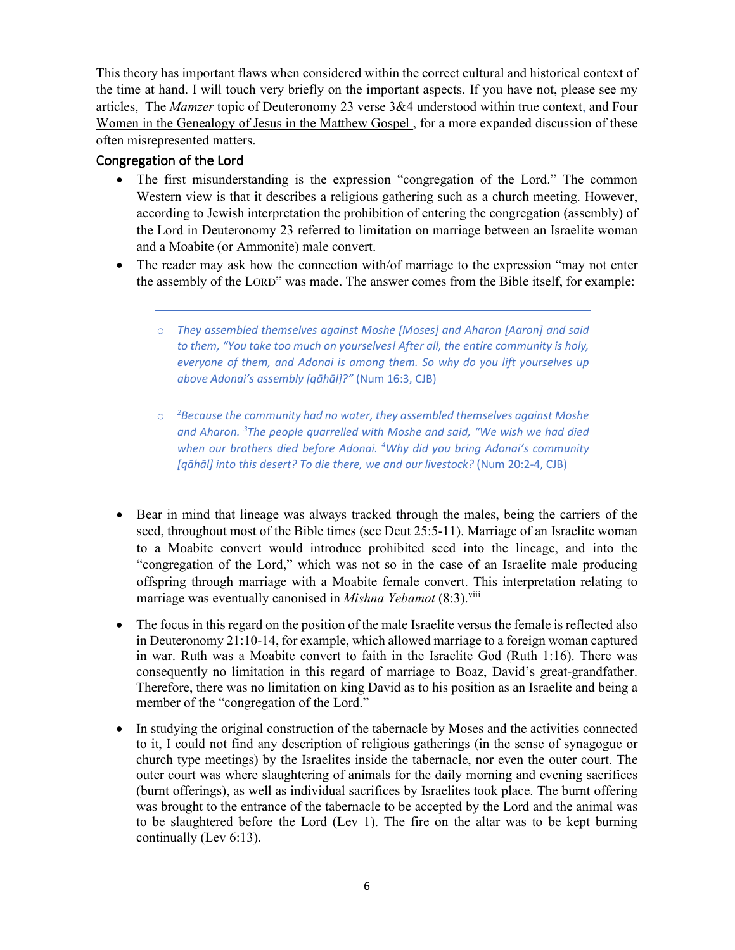This theory has important flaws when considered within the correct cultural and historical context of the time at hand. I will touch very briefly on the important aspects. If you have not, please see my articles, The *Mamzer* topic of Deuteronomy 23 verse 3&4 understood within true context, and Four Women in the Genealogy of Jesus in the Matthew Gospel , for a more expanded discussion of these often misrepresented matters.

### Congregation of the Lord

- The first misunderstanding is the expression "congregation of the Lord." The common Western view is that it describes a religious gathering such as a church meeting. However, according to Jewish interpretation the prohibition of entering the congregation (assembly) of the Lord in Deuteronomy 23 referred to limitation on marriage between an Israelite woman and a Moabite (or Ammonite) male convert.
- The reader may ask how the connection with/of marriage to the expression "may not enter the assembly of the LORD" was made. The answer comes from the Bible itself, for example:
	- o *They assembled themselves against Moshe [Moses] and Aharon [Aaron] and said to them, "You take too much on yourselves! After all, the entire community is holy, everyone of them, and Adonai is among them. So why do you lift yourselves up above Adonai's assembly [qāhāl]?"* (Num 16:3, CJB)
	- o *<sup>2</sup>Because the community had no water, they assembled themselves against Moshe and Aharon. <sup>3</sup>The people quarrelled with Moshe and said, "We wish we had died when our brothers died before Adonai. <sup>4</sup>Why did you bring Adonai's community [qāhāl] into this desert? To die there, we and our livestock?* (Num 20:2-4, CJB)
- Bear in mind that lineage was always tracked through the males, being the carriers of the seed, throughout most of the Bible times (see Deut 25:5-11). Marriage of an Israelite woman to a Moabite convert would introduce prohibited seed into the lineage, and into the "congregation of the Lord," which was not so in the case of an Israelite male producing offspring through marriage with a Moabite female convert. This interpretation relating to marriage was eventually canonised in *Mishna Yebamot* (8:3).<sup>viii</sup>
- The focus in this regard on the position of the male Israelite versus the female is reflected also in Deuteronomy 21:10-14, for example, which allowed marriage to a foreign woman captured in war. Ruth was a Moabite convert to faith in the Israelite God (Ruth 1:16). There was consequently no limitation in this regard of marriage to Boaz, David's great-grandfather. Therefore, there was no limitation on king David as to his position as an Israelite and being a member of the "congregation of the Lord."
- In studying the original construction of the tabernacle by Moses and the activities connected to it, I could not find any description of religious gatherings (in the sense of synagogue or church type meetings) by the Israelites inside the tabernacle, nor even the outer court. The outer court was where slaughtering of animals for the daily morning and evening sacrifices (burnt offerings), as well as individual sacrifices by Israelites took place. The burnt offering was brought to the entrance of the tabernacle to be accepted by the Lord and the animal was to be slaughtered before the Lord (Lev 1). The fire on the altar was to be kept burning continually (Lev 6:13).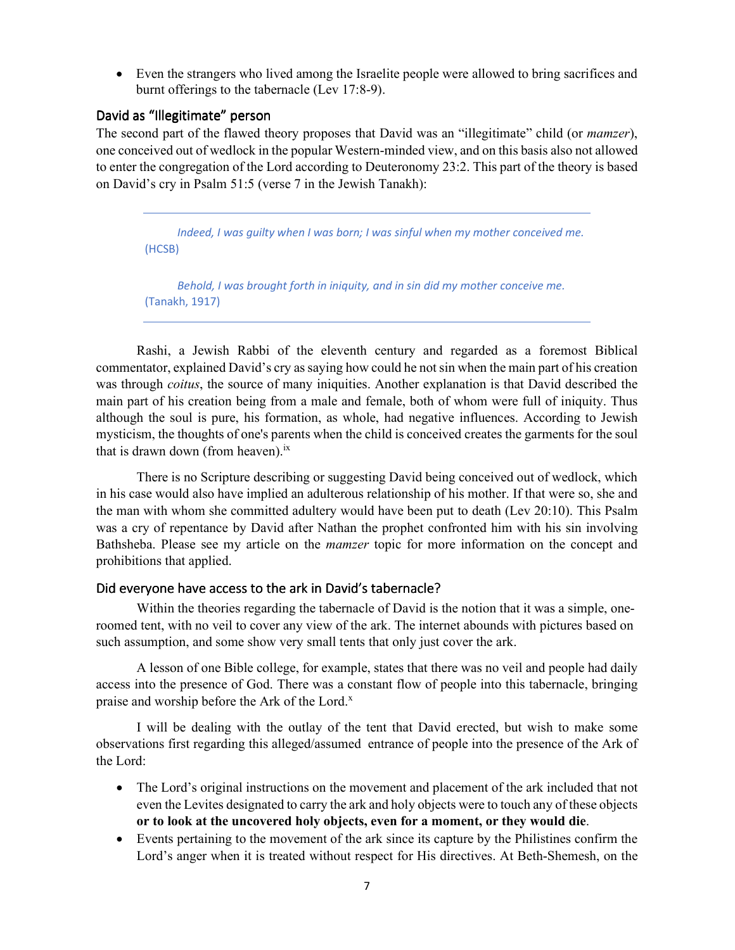Even the strangers who lived among the Israelite people were allowed to bring sacrifices and burnt offerings to the tabernacle (Lev 17:8-9).

### David as "Illegitimate" person

The second part of the flawed theory proposes that David was an "illegitimate" child (or *mamzer*), one conceived out of wedlock in the popular Western-minded view, and on this basis also not allowed to enter the congregation of the Lord according to Deuteronomy 23:2. This part of the theory is based on David's cry in Psalm 51:5 (verse 7 in the Jewish Tanakh):

*Indeed, I was guilty when I was born; I was sinful when my mother conceived me.* (HCSB)

*Behold, I was brought forth in iniquity, and in sin did my mother conceive me.*  (Tanakh, 1917)

Rashi, a Jewish Rabbi of the eleventh century and regarded as a foremost Biblical commentator, explained David's cry as saying how could he not sin when the main part of his creation was through *coitus*, the source of many iniquities. Another explanation is that David described the main part of his creation being from a male and female, both of whom were full of iniquity. Thus although the soul is pure, his formation, as whole, had negative influences. According to Jewish mysticism, the thoughts of one's parents when the child is conceived creates the garments for the soul that is drawn down (from heaven). $i<sub>x</sub>$ 

There is no Scripture describing or suggesting David being conceived out of wedlock, which in his case would also have implied an adulterous relationship of his mother. If that were so, she and the man with whom she committed adultery would have been put to death (Lev 20:10). This Psalm was a cry of repentance by David after Nathan the prophet confronted him with his sin involving Bathsheba. Please see my article on the *mamzer* topic for more information on the concept and prohibitions that applied.

### Did everyone have access to the ark in David's tabernacle?

Within the theories regarding the tabernacle of David is the notion that it was a simple, oneroomed tent, with no veil to cover any view of the ark. The internet abounds with pictures based on such assumption, and some show very small tents that only just cover the ark.

 A lesson of one Bible college, for example, states that there was no veil and people had daily access into the presence of God. There was a constant flow of people into this tabernacle, bringing praise and worship before the Ark of the Lord.<sup>x</sup>

 I will be dealing with the outlay of the tent that David erected, but wish to make some observations first regarding this alleged/assumed entrance of people into the presence of the Ark of the Lord:

- The Lord's original instructions on the movement and placement of the ark included that not even the Levites designated to carry the ark and holy objects were to touch any of these objects **or to look at the uncovered holy objects, even for a moment, or they would die**.
- Events pertaining to the movement of the ark since its capture by the Philistines confirm the Lord's anger when it is treated without respect for His directives. At Beth-Shemesh, on the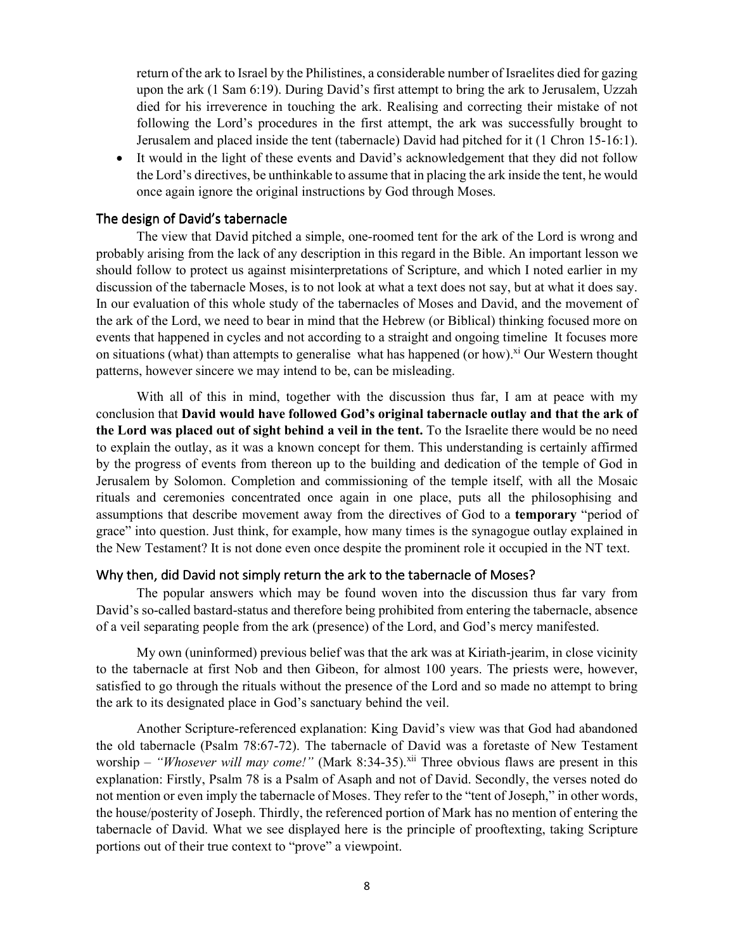return of the ark to Israel by the Philistines, a considerable number of Israelites died for gazing upon the ark (1 Sam 6:19). During David's first attempt to bring the ark to Jerusalem, Uzzah died for his irreverence in touching the ark. Realising and correcting their mistake of not following the Lord's procedures in the first attempt, the ark was successfully brought to Jerusalem and placed inside the tent (tabernacle) David had pitched for it (1 Chron 15-16:1).

 It would in the light of these events and David's acknowledgement that they did not follow the Lord's directives, be unthinkable to assume that in placing the ark inside the tent, he would once again ignore the original instructions by God through Moses.

### The design of David's tabernacle

The view that David pitched a simple, one-roomed tent for the ark of the Lord is wrong and probably arising from the lack of any description in this regard in the Bible. An important lesson we should follow to protect us against misinterpretations of Scripture, and which I noted earlier in my discussion of the tabernacle Moses, is to not look at what a text does not say, but at what it does say. In our evaluation of this whole study of the tabernacles of Moses and David, and the movement of the ark of the Lord, we need to bear in mind that the Hebrew (or Biblical) thinking focused more on events that happened in cycles and not according to a straight and ongoing timeline It focuses more on situations (what) than attempts to generalise what has happened (or how).<sup>xi</sup> Our Western thought patterns, however sincere we may intend to be, can be misleading.

With all of this in mind, together with the discussion thus far, I am at peace with my conclusion that **David would have followed God's original tabernacle outlay and that the ark of the Lord was placed out of sight behind a veil in the tent.** To the Israelite there would be no need to explain the outlay, as it was a known concept for them. This understanding is certainly affirmed by the progress of events from thereon up to the building and dedication of the temple of God in Jerusalem by Solomon. Completion and commissioning of the temple itself, with all the Mosaic rituals and ceremonies concentrated once again in one place, puts all the philosophising and assumptions that describe movement away from the directives of God to a **temporary** "period of grace" into question. Just think, for example, how many times is the synagogue outlay explained in the New Testament? It is not done even once despite the prominent role it occupied in the NT text.

### Why then, did David not simply return the ark to the tabernacle of Moses?

The popular answers which may be found woven into the discussion thus far vary from David's so-called bastard-status and therefore being prohibited from entering the tabernacle, absence of a veil separating people from the ark (presence) of the Lord, and God's mercy manifested.

My own (uninformed) previous belief was that the ark was at Kiriath-jearim, in close vicinity to the tabernacle at first Nob and then Gibeon, for almost 100 years. The priests were, however, satisfied to go through the rituals without the presence of the Lord and so made no attempt to bring the ark to its designated place in God's sanctuary behind the veil.

Another Scripture-referenced explanation: King David's view was that God had abandoned the old tabernacle (Psalm 78:67-72). The tabernacle of David was a foretaste of New Testament worship – "Whosever will may come!" (Mark 8:34-35).<sup>xii</sup> Three obvious flaws are present in this explanation: Firstly, Psalm 78 is a Psalm of Asaph and not of David. Secondly, the verses noted do not mention or even imply the tabernacle of Moses. They refer to the "tent of Joseph," in other words, the house/posterity of Joseph. Thirdly, the referenced portion of Mark has no mention of entering the tabernacle of David. What we see displayed here is the principle of prooftexting, taking Scripture portions out of their true context to "prove" a viewpoint.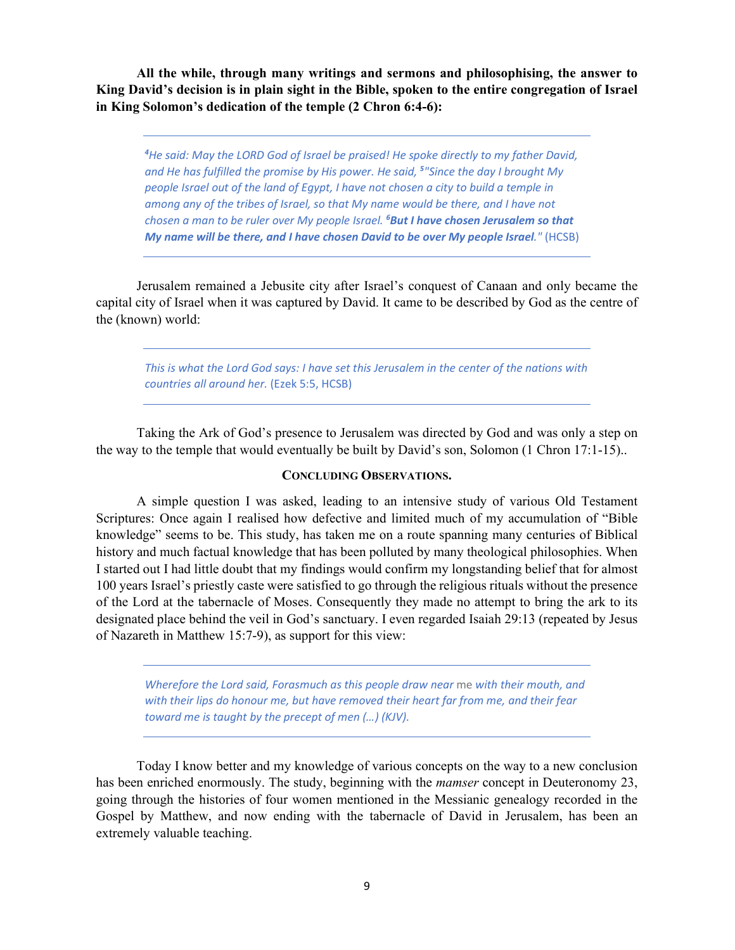**All the while, through many writings and sermons and philosophising, the answer to King David's decision is in plain sight in the Bible, spoken to the entire congregation of Israel in King Solomon's dedication of the temple (2 Chron 6:4-6):** 

*<sup>4</sup>He said: May the LORD God of Israel be praised! He spoke directly to my father David,*  and He has fulfilled the promise by His power. He said, <sup>5</sup>"Since the day I brought My *people Israel out of the land of Egypt, I have not chosen a city to build a temple in among any of the tribes of Israel, so that My name would be there, and I have not chosen a man to be ruler over My people Israel. <sup>6</sup>But I have chosen Jerusalem so that My name will be there, and I have chosen David to be over My people Israel."* (HCSB)

Jerusalem remained a Jebusite city after Israel's conquest of Canaan and only became the capital city of Israel when it was captured by David. It came to be described by God as the centre of the (known) world:

*This is what the Lord God says: I have set this Jerusalem in the center of the nations with countries all around her.* (Ezek 5:5, HCSB)

Taking the Ark of God's presence to Jerusalem was directed by God and was only a step on the way to the temple that would eventually be built by David's son, Solomon (1 Chron 17:1-15)..

### **CONCLUDING OBSERVATIONS.**

A simple question I was asked, leading to an intensive study of various Old Testament Scriptures: Once again I realised how defective and limited much of my accumulation of "Bible knowledge" seems to be. This study, has taken me on a route spanning many centuries of Biblical history and much factual knowledge that has been polluted by many theological philosophies. When I started out I had little doubt that my findings would confirm my longstanding belief that for almost 100 years Israel's priestly caste were satisfied to go through the religious rituals without the presence of the Lord at the tabernacle of Moses. Consequently they made no attempt to bring the ark to its designated place behind the veil in God's sanctuary. I even regarded Isaiah 29:13 (repeated by Jesus of Nazareth in Matthew 15:7-9), as support for this view:

*Wherefore the Lord said, Forasmuch as this people draw near* me *with their mouth, and with their lips do honour me, but have removed their heart far from me, and their fear toward me is taught by the precept of men (…) (KJV).* 

Today I know better and my knowledge of various concepts on the way to a new conclusion has been enriched enormously. The study, beginning with the *mamser* concept in Deuteronomy 23, going through the histories of four women mentioned in the Messianic genealogy recorded in the Gospel by Matthew, and now ending with the tabernacle of David in Jerusalem, has been an extremely valuable teaching.